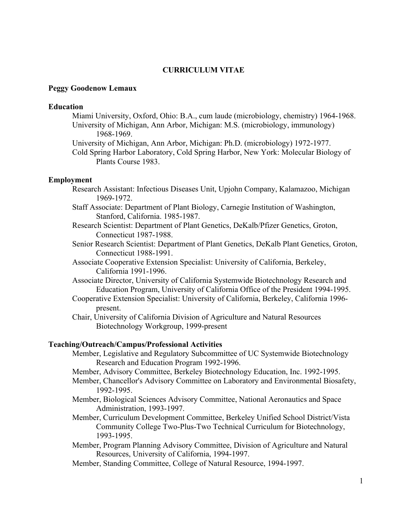## **CURRICULUM VITAE**

## **Peggy Goodenow Lemaux**

#### **Education**

- Miami University, Oxford, Ohio: B.A., cum laude (microbiology, chemistry) 1964-1968. University of Michigan, Ann Arbor, Michigan: M.S. (microbiology, immunology) 1968-1969.
- University of Michigan, Ann Arbor, Michigan: Ph.D. (microbiology) 1972-1977.

Cold Spring Harbor Laboratory, Cold Spring Harbor, New York: Molecular Biology of Plants Course 1983.

# **Employment**

- Research Assistant: Infectious Diseases Unit, Upjohn Company, Kalamazoo, Michigan 1969-1972.
- Staff Associate: Department of Plant Biology, Carnegie Institution of Washington, Stanford, California. 1985-1987.
- Research Scientist: Department of Plant Genetics, DeKalb/Pfizer Genetics, Groton, Connecticut 1987-1988.
- Senior Research Scientist: Department of Plant Genetics, DeKalb Plant Genetics, Groton, Connecticut 1988-1991.
- Associate Cooperative Extension Specialist: University of California, Berkeley, California 1991-1996.
- Associate Director, University of California Systemwide Biotechnology Research and Education Program, University of California Office of the President 1994-1995.
- Cooperative Extension Specialist: University of California, Berkeley, California 1996 present.
- Chair, University of California Division of Agriculture and Natural Resources Biotechnology Workgroup, 1999-present

### **Teaching/Outreach/Campus/Professional Activities**

- Member, Legislative and Regulatory Subcommittee of UC Systemwide Biotechnology Research and Education Program 1992-1996.
- Member, Advisory Committee, Berkeley Biotechnology Education, Inc. 1992-1995.
- Member, Chancellor's Advisory Committee on Laboratory and Environmental Biosafety, 1992-1995.
- Member, Biological Sciences Advisory Committee, National Aeronautics and Space Administration, 1993-1997.
- Member, Curriculum Development Committee, Berkeley Unified School District/Vista Community College Two-Plus-Two Technical Curriculum for Biotechnology, 1993-1995.
- Member, Program Planning Advisory Committee, Division of Agriculture and Natural Resources, University of California, 1994-1997.
- Member, Standing Committee, College of Natural Resource, 1994-1997.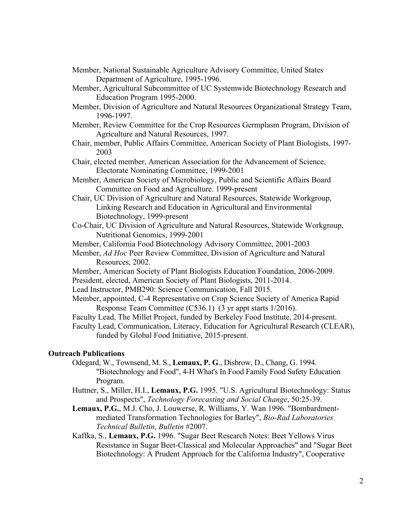- Member, National Sustainable Agriculture Advisory Committee, United States Department of Agriculture, 1995-1996.
- Member, Agricultural Subcommittee of UC Systemwide Biotechnology Research and Education Program 1995-2000.
- Member, Division of Agriculture and Natural Resources Organizational Strategy Team, 1996-1997.
- Member, Review Committee for the Crop Resources Germplasm Program, Division of Agriculture and Natural Resources, 1997.
- Chair, member, Public Affairs Committee, American Society of Plant Biologists, 1997- 2003
- Chair, elected member, American Association for the Advancement of Science, Electorate Nominating Committee, 1999-2001
- Member, American Society of Microbiology, Public and Scientific Affairs Board Committee on Food and Agriculture. 1999-present
- Chair, UC Division of Agriculture and Natural Resources, Statewide Workgroup, Linking Research and Education in Agricultural and Environmental Biotechnology, 1999-present
- Co-Chair, UC Division of Agriculture and Natural Resources, Statewide Workgroup, Nutritional Genomics, 1999-2001
- Member, California Food Biotechnology Advisory Committee, 2001-2003
- Member, *Ad Hoc* Peer Review Committee, Division of Agriculture and Natural Resources, 2002.
- Member, American Society of Plant Biologists Education Foundation, 2006-2009. President, elected, American Society of Plant Biologists, 2011-2014.
- Lead Instructor, PMB290: Science Communication, Fall 2015.
- Member, appointed, C-4 Representative on Crop Science Society of America Rapid Response Team Committee (C536.1) (3 yr appt starts 1/2016).
- Faculty Lead, The Millet Project, funded by Berkeley Food Institute, 2014-present.
- Faculty Lead, Communication, Literacy, Education for Agricultural Research (CLEAR), funded by Global Food Initiative, 2015-present.

### **Outreach Publications**

- Odegard, W., Townsend, M. S., **Lemaux, P. G**., Disbrow, D., Chang, G. 1994. "Biotechnology and Food", 4-H What's In Food Family Food Safety Education Program.
- Huttner, S., Miller, H.I., **Lemaux, P.G.** 1995. "U.S. Agricultural Biotechnology: Status and Prospects", *Technology Forecasting and Social Change*, 50:25-39.
- **Lemaux, P.G.**, M.J. Cho, J. Louwerse, R. Williams, Y. Wan 1996. "Bombardmentmediated Transformation Technologies for Barley", *Bio-Rad Laboratories Technical Bulletin, Bulletin* #2007.
- Kaffka, S., **Lemaux, P.G.** 1996. "Sugar Beet Research Notes: Beet Yellows Virus Resistance in Sugar Beet-Classical and Molecular Approaches" and "Sugar Beet Biotechnology: A Prudent Approach for the California Industry", Cooperative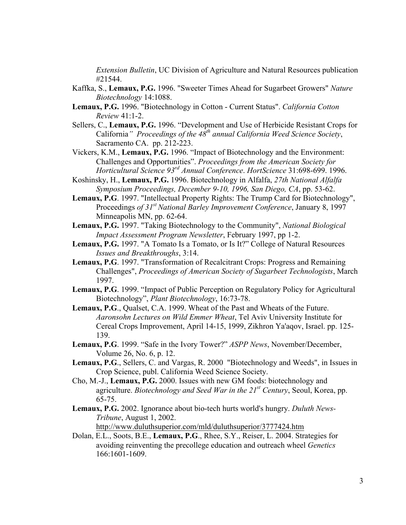*Extension Bulletin*, UC Division of Agriculture and Natural Resources publication #21544.

- Kaffka, S., **Lemaux, P.G.** 1996. "Sweeter Times Ahead for Sugarbeet Growers" *Nature Biotechnology* 14:1088.
- **Lemaux, P.G.** 1996. "Biotechnology in Cotton Current Status". *California Cotton Review* 41:1-2.
- Sellers, C., **Lemaux, P.G.** 1996. "Development and Use of Herbicide Resistant Crops for California*" Proceedings of the 48th annual California Weed Science Society*, Sacramento CA. pp. 212-223.
- Vickers, K.M., **Lemaux, P.G.** 1996. "Impact of Biotechnology and the Environment: Challenges and Opportunities". *Proceedings from the American Society for Horticultural Science 93rd Annual Conference*. *HortScience* 31:698-699. 1996.
- Koshinsky, H., **Lemaux, P.G.** 1996. Biotechnology in Alfalfa, *27th National Alfalfa Symposium Proceedings, December 9-10, 1996, San Diego, CA*, pp. 53-62.
- **Lemaux, P.G**. 1997. "Intellectual Property Rights: The Trump Card for Biotechnology", Proceedings *of 31st National Barley Improvement Conference*, January 8, 1997 Minneapolis MN, pp. 62-64.
- **Lemaux, P.G.** 1997. "Taking Biotechnology to the Community", *National Biological Impact Assessment Program Newsletter*, February 1997, pp 1-2.
- **Lemaux, P.G.** 1997. "A Tomato Is a Tomato, or Is It?" College of Natural Resources *Issues and Breakthroughs*, 3:14.
- **Lemaux, P.G**. 1997. "Transformation of Recalcitrant Crops: Progress and Remaining Challenges", *Proceedings of American Society of Sugarbeet Technologists*, March 1997.
- **Lemaux, P.G**. 1999. "Impact of Public Perception on Regulatory Policy for Agricultural Biotechnology", *Plant Biotechnology*, 16:73-78.
- **Lemaux, P.G**., Qualset, C.A. 1999. Wheat of the Past and Wheats of the Future. *Aaronsohn Lectures on Wild Emmer Wheat*, Tel Aviv University Institute for Cereal Crops Improvement, April 14-15, 1999, Zikhron Ya'aqov, Israel. pp. 125- 139.
- **Lemaux, P.G**. 1999. "Safe in the Ivory Tower?" *ASPP News*, November/December, Volume 26, No. 6, p. 12.
- **Lemaux, P.G**., Sellers, C. and Vargas, R. 2000 "Biotechnology and Weeds", in Issues in Crop Science, publ. California Weed Science Society.
- Cho, M.-J., **Lemaux, P.G.** 2000. Issues with new GM foods: biotechnology and agriculture. *Biotechnology and Seed War in the 21st Century*, Seoul, Korea, pp. 65-75.
- **Lemaux, P.G.** 2002. Ignorance about bio-tech hurts world's hungry. *Duluth News-Tribune*, August 1, 2002.

http://www.duluthsuperior.com/mld/duluthsuperior/3777424.htm

Dolan, E.L., Soots, B.E., **Lemaux, P.G**., Rhee, S.Y., Reiser, L. 2004. Strategies for avoiding reinventing the precollege education and outreach wheel *Genetics*  166:1601-1609.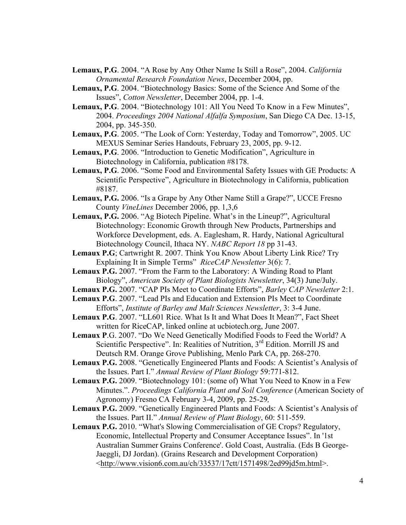- **Lemaux, P.G**. 2004. "A Rose by Any Other Name Is Still a Rose", 2004. *California Ornamental Research Foundation News*, December 2004, pp.
- **Lemaux, P.G**. 2004. "Biotechnology Basics: Some of the Science And Some of the Issues", *Cotton Newsletter*, December 2004, pp. 1-4.
- **Lemaux, P.G**. 2004. "Biotechnology 101: All You Need To Know in a Few Minutes", 2004. *Proceedings 2004 National Alfalfa Symposium*, San Diego CA Dec. 13-15, 2004, pp. 345-350.
- **Lemaux, P.G**. 2005. "The Look of Corn: Yesterday, Today and Tomorrow", 2005. UC MEXUS Seminar Series Handouts, February 23, 2005, pp. 9-12.
- **Lemaux, P.G**. 2006. "Introduction to Genetic Modification", Agriculture in Biotechnology in California, publication #8178.
- **Lemaux, P.G**. 2006. "Some Food and Environmental Safety Issues with GE Products: A Scientific Perspective", Agriculture in Biotechnology in California, publication #8187.
- **Lemaux, P.G.** 2006. "Is a Grape by Any Other Name Still a Grape?", UCCE Fresno County *VineLines* December 2006, pp. 1,3,6
- **Lemaux, P.G.** 2006. "Ag Biotech Pipeline. What's in the Lineup?", Agricultural Biotechnology: Economic Growth through New Products, Partnerships and Workforce Development, eds. A. Eaglesham, R. Hardy, National Agricultural Biotechnology Council, Ithaca NY. *NABC Report 18* pp 31-43.
- **Lemaux P.G**; Cartwright R. 2007. Think You Know About Liberty Link Rice? Try Explaining It in Simple Terms" *RiceCAP Newsletter* 3(6): 7.
- **Lemaux P.G.** 2007. "From the Farm to the Laboratory: A Winding Road to Plant Biology", *American Society of Plant Biologists Newsletter*, 34(3) June/July.
- **Lemaux P.G.** 2007. "CAP PIs Meet to Coordinate Efforts", *Barley CAP Newsletter* 2:1.
- **Lemaux P.G**. 2007. "Lead PIs and Education and Extension PIs Meet to Coordinate Efforts", *Institute of Barley and Malt Sciences Newsletter*, 3: 3-4 June.
- **Lemaux P.G**. 2007. "LL601 Rice. What Is It and What Does It Mean?", Fact Sheet written for RiceCAP, linked online at ucbiotech.org, June 2007.
- **Lemaux P**.G. 2007. "Do We Need Genetically Modified Foods to Feed the World? A Scientific Perspective". In: Realities of Nutrition, 3<sup>rd</sup> Edition. Morrill JS and Deutsch RM. Orange Grove Publishing, Menlo Park CA, pp. 268-270.
- **Lemaux P.G.** 2008. "Genetically Engineered Plants and Foods: A Scientist's Analysis of the Issues. Part I." *Annual Review of Plant Biology* 59:771-812.
- **Lemaux P.G.** 2009. "Biotechnology 101: (some of) What You Need to Know in a Few Minutes.". *Proceedings California Plant and Soil Conference* (American Society of Agronomy) Fresno CA February 3-4, 2009, pp. 25-29*,*
- **Lemaux P.G.** 2009. "Genetically Engineered Plants and Foods: A Scientist's Analysis of the Issues. Part II." *Annual Review of Plant Biology*, 60: 511-559.
- **Lemaux P.G.** 2010. "What's Slowing Commercialisation of GE Crops? Regulatory, Economic, Intellectual Property and Consumer Acceptance Issues". In '1st Australian Summer Grains Conference'. Gold Coast, Australia. (Eds B George-Jaeggli, DJ Jordan). (Grains Research and Development Corporation) <http://www.vision6.com.au/ch/33537/17ctt/1571498/2ed99jd5m.html>.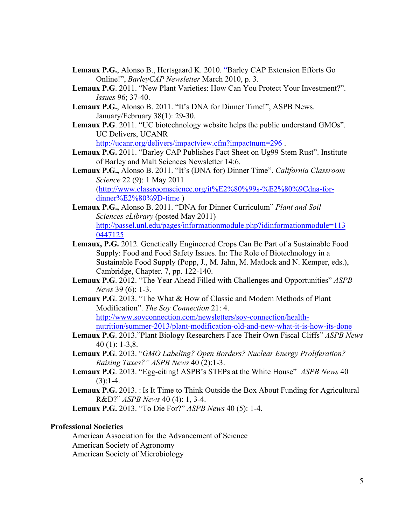- **Lemaux P.G.**, Alonso B., Hertsgaard K. 2010. "Barley CAP Extension Efforts Go Online!", *BarleyCAP Newsletter* March 2010, p. 3.
- **Lemaux P.G**. 2011. "New Plant Varieties: How Can You Protect Your Investment?". *Issues* 96; 37-40.
- **Lemaux P.G.**, Alonso B. 2011. "It's DNA for Dinner Time!", ASPB News. January/February 38(1): 29-30.
- **Lemaux P.G**. 2011. "UC biotechnology website helps the public understand GMOs". UC Delivers, UCANR http://ucanr.org/delivers/impactview.cfm?impactnum=296 .
- **Lemaux P.G.** 2011. "Barley CAP Publishes Fact Sheet on Ug99 Stem Rust". Institute of Barley and Malt Sciences Newsletter 14:6.
- **Lemaux P.G.,** Alonso B. 2011. "It's (DNA for) Dinner Time". *California Classroom Science* 22 (9): 1 May 2011 (http://www.classroomscience.org/it%E2%80%99s-%E2%80%9Cdna-fordinner%E2%80%9D-time )
- **Lemaux P.G.,** Alonso B. 2011. "DNA for Dinner Curriculum" *Plant and Soil Sciences eLibrary* (posted May 2011) http://passel.unl.edu/pages/informationmodule.php?idinformationmodule=113 0447125
- **Lemaux, P.G.** 2012. Genetically Engineered Crops Can Be Part of a Sustainable Food Supply: Food and Food Safety Issues. In: The Role of Biotechnology in a Sustainable Food Supply (Popp, J., M. Jahn, M. Matlock and N. Kemper, eds.), Cambridge, Chapter. 7, pp. 122-140.
- **Lemaux P.G**. 2012. "The Year Ahead Filled with Challenges and Opportunities" *ASPB News* 39 (6): 1-3.
- **Lemaux P.G**. 2013. "The What & How of Classic and Modern Methods of Plant Modification". *The Soy Connection* 21: 4. http://www.soyconnection.com/newsletters/soy-connection/healthnutrition/summer-2013/plant-modification-old-and-new-what-it-is-how-its-done
- **Lemaux P.G**. 2013."Plant Biology Researchers Face Their Own Fiscal Cliffs" *ASPB News*  40 (1): 1-3,8.
- **Lemaux P.G**. 2013. "*GMO Labeling? Open Borders? Nuclear Energy Proliferation? Raising Taxes?" ASPB News* 40 (2):1-3.
- **Lemaux P.G**. 2013. "Egg-citing! ASPB's STEPs at the White House" *ASPB News* 40  $(3):1-4.$
- **Lemaux P.G.** 2013. : Is It Time to Think Outside the Box About Funding for Agricultural R&D?" *ASPB News* 40 (4): 1, 3-4.

**Lemaux P.G.** 2013. "To Die For?" *ASPB News* 40 (5): 1-4.

# **Professional Societies**

American Association for the Advancement of Science American Society of Agronomy American Society of Microbiology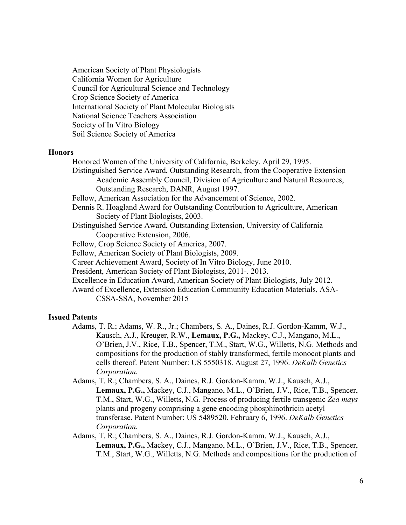American Society of Plant Physiologists California Women for Agriculture Council for Agricultural Science and Technology Crop Science Society of America International Society of Plant Molecular Biologists National Science Teachers Association Society of In Vitro Biology Soil Science Society of America

#### **Honors**

- Honored Women of the University of California, Berkeley. April 29, 1995.
- Distinguished Service Award, Outstanding Research, from the Cooperative Extension Academic Assembly Council, Division of Agriculture and Natural Resources, Outstanding Research, DANR, August 1997.
- Fellow, American Association for the Advancement of Science, 2002.
- Dennis R. Hoagland Award for Outstanding Contribution to Agriculture, American Society of Plant Biologists, 2003.
- Distinguished Service Award, Outstanding Extension, University of California Cooperative Extension, 2006.
- Fellow, Crop Science Society of America, 2007.
- Fellow, American Society of Plant Biologists, 2009.
- Career Achievement Award, Society of In Vitro Biology, June 2010.
- President, American Society of Plant Biologists, 2011-. 2013.
- Excellence in Education Award, American Society of Plant Biologists, July 2012.
- Award of Excellence, Extension Education Community Education Materials, ASA-CSSA-SSA, November 2015

## **Issued Patents**

- Adams, T. R.; Adams, W. R., Jr.; Chambers, S. A., Daines, R.J. Gordon-Kamm, W.J., Kausch, A.J., Kreuger, R.W., **Lemaux, P.G.,** Mackey, C.J., Mangano, M.L., O'Brien, J.V., Rice, T.B., Spencer, T.M., Start, W.G., Willetts, N.G. Methods and compositions for the production of stably transformed, fertile monocot plants and cells thereof. Patent Number: US 5550318. August 27, 1996. *DeKalb Genetics Corporation.*
- Adams, T. R.; Chambers, S. A., Daines, R.J. Gordon-Kamm, W.J., Kausch, A.J., **Lemaux, P.G.,** Mackey, C.J., Mangano, M.L., O'Brien, J.V., Rice, T.B., Spencer, T.M., Start, W.G., Willetts, N.G. Process of producing fertile transgenic *Zea mays* plants and progeny comprising a gene encoding phosphinothricin acetyl transferase. Patent Number: US 5489520. February 6, 1996. *DeKalb Genetics Corporation.*
- Adams, T. R.; Chambers, S. A., Daines, R.J. Gordon-Kamm, W.J., Kausch, A.J., **Lemaux, P.G.,** Mackey, C.J., Mangano, M.L., O'Brien, J.V., Rice, T.B., Spencer, T.M., Start, W.G., Willetts, N.G. Methods and compositions for the production of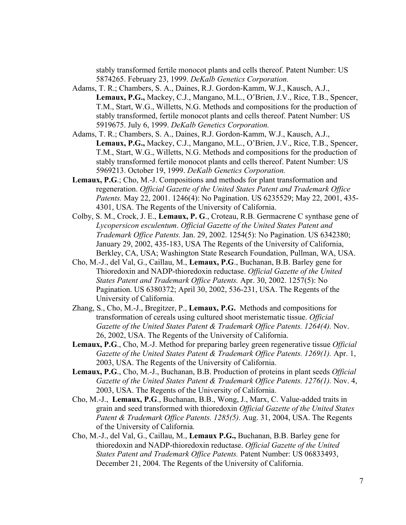stably transformed fertile monocot plants and cells thereof. Patent Number: US 5874265. February 23, 1999. *DeKalb Genetics Corporation.*

- Adams, T. R.; Chambers, S. A., Daines, R.J. Gordon-Kamm, W.J., Kausch, A.J., **Lemaux, P.G.,** Mackey, C.J., Mangano, M.L., O'Brien, J.V., Rice, T.B., Spencer, T.M., Start, W.G., Willetts, N.G. Methods and compositions for the production of stably transformed, fertile monocot plants and cells thereof. Patent Number: US 5919675. July 6, 1999. *DeKalb Genetics Corporation.*
- Adams, T. R.; Chambers, S. A., Daines, R.J. Gordon-Kamm, W.J., Kausch, A.J., **Lemaux, P.G.,** Mackey, C.J., Mangano, M.L., O'Brien, J.V., Rice, T.B., Spencer, T.M., Start, W.G., Willetts, N.G. Methods and compositions for the production of stably transformed fertile monocot plants and cells thereof. Patent Number: US 5969213. October 19, 1999. *DeKalb Genetics Corporation.*
- **Lemaux, P.G**.; Cho, M.-J. Compositions and methods for plant transformation and regeneration. *Official Gazette of the United States Patent and Trademark Office Patents.* May 22, 2001. 1246(4): No Pagination. US 6235529; May 22, 2001, 435- 4301, USA. The Regents of the University of California.
- Colby, S. M., Crock, J. E., **Lemaux, P. G**., Croteau, R.B. Germacrene C synthase gene of *Lycopersicon esculentum*. *Official Gazette of the United States Patent and Trademark Office Patents.* Jan. 29, 2002. 1254(5): No Pagination. US 6342380; January 29, 2002, 435-183, USA The Regents of the University of California, Berkley, CA, USA; Washington State Research Foundation, Pullman, WA, USA.
- Cho, M.-J., del Val, G., Caillau, M., **Lemaux, P.G**., Buchanan, B.B. Barley gene for Thioredoxin and NADP-thioredoxin reductase. *Official Gazette of the United States Patent and Trademark Office Patents.* Apr. 30, 2002. 1257(5): No Pagination. US 6380372; April 30, 2002, 536-231, USA. The Regents of the University of California.
- Zhang, S., Cho, M.-J., Bregitzer, P., **Lemaux, P.G.** Methods and compositions for transformation of cereals using cultured shoot meristematic tissue. *Official Gazette of the United States Patent & Trademark Office Patents. 1264(4).* Nov. 26, 2002, USA. The Regents of the University of California.
- **Lemaux, P.G**., Cho, M.-J. Method for preparing barley green regenerative tissue *Official Gazette of the United States Patent & Trademark Office Patents. 1269(1). Apr. 1,* 2003, USA. The Regents of the University of California.
- **Lemaux, P.G**., Cho, M.-J., Buchanan, B.B. Production of proteins in plant seeds *Official Gazette of the United States Patent & Trademark Office Patents. 1276(1).* Nov. 4, 2003, USA. The Regents of the University of California.
- Cho, M.-J., **Lemaux, P.G**., Buchanan, B.B., Wong, J., Marx, C. Value-added traits in grain and seed transformed with thioredoxin *Official Gazette of the United States Patent & Trademark Office Patents. 1285(5).* Aug. 31, 2004, USA. The Regents of the University of California*.*
- Cho, M.-J., del Val, G., Caillau, M., **Lemaux P.G.,** Buchanan, B.B. Barley gene for thioredoxin and NADP-thioredoxin reductase. *Official Gazette of the United States Patent and Trademark Office Patents.* Patent Number: US 06833493, December 21, 2004. The Regents of the University of California.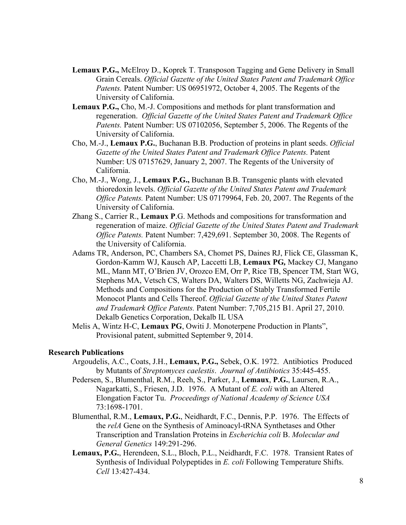- **Lemaux P.G.,** McElroy D., Koprek T. Transposon Tagging and Gene Delivery in Small Grain Cereals. *Official Gazette of the United States Patent and Trademark Office Patents.* Patent Number: US 06951972, October 4, 2005. The Regents of the University of California.
- **Lemaux P.G.,** Cho, M.-J. Compositions and methods for plant transformation and regeneration. *Official Gazette of the United States Patent and Trademark Office Patents.* Patent Number: US 07102056, September 5, 2006. The Regents of the University of California.
- Cho, M.-J., **Lemaux P.G.**, Buchanan B.B. Production of proteins in plant seeds. *Official Gazette of the United States Patent and Trademark Office Patents.* Patent Number: US 07157629, January 2, 2007. The Regents of the University of California.
- Cho, M.-J., Wong, J., **Lemaux P.G.,** Buchanan B.B. Transgenic plants with elevated thioredoxin levels. *Official Gazette of the United States Patent and Trademark Office Patents.* Patent Number: US 07179964, Feb. 20, 2007. The Regents of the University of California.
- Zhang S., Carrier R., **Lemaux P**.G. Methods and compositions for transformation and regeneration of maize. *Official Gazette of the United States Patent and Trademark Office Patents.* Patent Number: 7,429,691. September 30, 2008. The Regents of the University of California.
- Adams TR, Anderson, PC, Chambers SA, Chomet PS, Daines RJ, Flick CE, Glassman K, Gordon-Kamm WJ, Kausch AP, Laccetti LB, **Lemaux PG***,* Mackey CJ, Mangano ML, Mann MT, O'Brien JV, Orozco EM, Orr P, Rice TB, Spencer TM, Start WG, Stephens MA, Vetsch CS, Walters DA, Walters DS, Willetts NG, Zachwieja AJ. Methods and Compositions for the Production of Stably Transformed Fertile Monocot Plants and Cells Thereof. *Official Gazette of the United States Patent and Trademark Office Patents.* Patent Number: 7,705,215 B1. April 27, 2010. Dekalb Genetics Corporation, Dekalb IL USA
- Melis A, Wintz H-C, **Lemaux PG**, Owiti J. Monoterpene Production in Plants", Provisional patent, submitted September 9, 2014.

#### **Research Publications**

- Argoudelis, A.C., Coats, J.H., **Lemaux, P.G.,** Sebek, O.K. 1972. Antibiotics Produced by Mutants of *Streptomyces caelestis*. *Journal of Antibiotics* 35:445-455.
- Pedersen, S., Blumenthal, R.M., Reeh, S., Parker, J., **Lemaux**, **P.G.**, Laursen, R.A., Nagarkatti, S., Friesen, J.D. 1976. A Mutant of *E. coli* with an Altered Elongation Factor Tu. *Proceedings of National Academy of Science USA* 73:1698-1701.
- Blumenthal, R.M., **Lemaux, P.G.**, Neidhardt, F.C., Dennis, P.P. 1976. The Effects of the *relA* Gene on the Synthesis of Aminoacyl-tRNA Synthetases and Other Transcription and Translation Proteins in *Escherichia coli* B. *Molecular and General Genetics* 149:291-296.
- **Lemaux, P.G.**, Herendeen, S.L., Bloch, P.L., Neidhardt, F.C. 1978. Transient Rates of Synthesis of Individual Polypeptides in *E. coli* Following Temperature Shifts. *Cell* 13:427-434.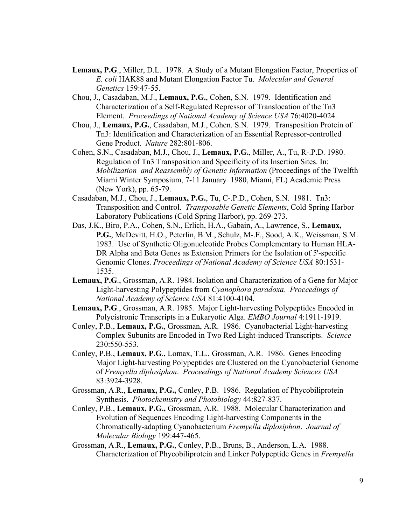- **Lemaux, P.G**., Miller, D.L. 1978. A Study of a Mutant Elongation Factor, Properties of *E. coli* HAK88 and Mutant Elongation Factor Tu. *Molecular and General Genetics* 159:47-55.
- Chou, J., Casadaban, M.J., **Lemaux, P.G.**, Cohen, S.N. 1979. Identification and Characterization of a Self-Regulated Repressor of Translocation of the Tn3 Element. *Proceedings of National Academy of Science USA* 76:4020-4024.
- Chou, J., **Lemaux, P.G.**, Casadaban, M.J., Cohen. S.N. 1979. Transposition Protein of Tn3: Identification and Characterization of an Essential Repressor-controlled Gene Product. *Nature* 282:801-806.
- Cohen, S.N., Casadaban, M.J., Chou, J., **Lemaux, P.G.**, Miller, A., Tu, R-.P.D. 1980. Regulation of Tn3 Transposition and Specificity of its Insertion Sites. In: *Mobilization and Reassembly of Genetic Information* (Proceedings of the Twelfth Miami Winter Symposium, 7-11 January 1980, Miami, FL) Academic Press (New York), pp. 65-79.
- Casadaban, M.J., Chou, J., **Lemaux, P.G.**, Tu, C-.P.D., Cohen, S.N. 1981. Tn3: Transposition and Control. *Transposable Genetic Elements*, Cold Spring Harbor Laboratory Publications (Cold Spring Harbor), pp. 269-273.
- Das, J.K., Biro, P.A., Cohen, S.N., Erlich, H.A., Gabain, A., Lawrence, S., **Lemaux, P.G.**, McDevitt, H.O., Peterlin, B.M., Schulz, M-.F., Sood, A.K., Weissman, S.M. 1983. Use of Synthetic Oligonucleotide Probes Complementary to Human HLA-DR Alpha and Beta Genes as Extension Primers for the Isolation of 5'-specific Genomic Clones. *Proceedings of National Academy of Science USA* 80:1531- 1535.
- **Lemaux, P.G**., Grossman, A.R. 1984. Isolation and Characterization of a Gene for Major Light-harvesting Polypeptides from *Cyanophora paradoxa*. *Proceedings of National Academy of Science USA* 81:4100-4104.
- **Lemaux, P.G**., Grossman, A.R. 1985. Major Light-harvesting Polypeptides Encoded in Polycistronic Transcripts in a Eukaryotic Alga. *EMBO Journal* 4:1911-1919.
- Conley, P.B., **Lemaux, P.G.**, Grossman, A.R. 1986. Cyanobacterial Light-harvesting Complex Subunits are Encoded in Two Red Light-induced Transcripts. *Science* 230:550-553.
- Conley, P.B., **Lemaux, P.G**., Lomax, T.L., Grossman, A.R. 1986. Genes Encoding Major Light-harvesting Polypeptides are Clustered on the Cyanobacterial Genome of *Fremyella diplosiphon*. *Proceedings of National Academy Sciences USA* 83:3924-3928.
- Grossman, A.R., **Lemaux, P.G.,** Conley, P.B. 1986. Regulation of Phycobiliprotein Synthesis. *Photochemistry and Photobiology* 44:827-837.
- Conley, P.B., **Lemaux, P.G.,** Grossman, A.R. 1988. Molecular Characterization and Evolution of Sequences Encoding Light-harvesting Components in the Chromatically-adapting Cyanobacterium *Fremyella diplosiphon*. *Journal of Molecular Biology* 199:447-465.
- Grossman, A.R., **Lemaux, P.G.**, Conley, P.B., Bruns, B., Anderson, L.A. 1988. Characterization of Phycobiliprotein and Linker Polypeptide Genes in *Fremyella*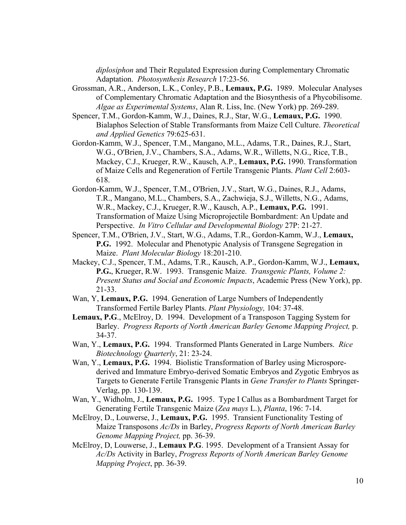*diplosiphon* and Their Regulated Expression during Complementary Chromatic Adaptation. *Photosynthesis Research* 17:23-56.

- Grossman, A.R., Anderson, L.K., Conley, P.B., **Lemaux, P.G.** 1989. Molecular Analyses of Complementary Chromatic Adaptation and the Biosynthesis of a Phycobilisome. *Algae as Experimental Systems*, Alan R. Liss, Inc. (New York) pp. 269-289.
- Spencer, T.M., Gordon-Kamm, W.J., Daines, R.J., Star, W.G., **Lemaux, P.G.** 1990. Bialaphos Selection of Stable Transformants from Maize Cell Culture. *Theoretical and Applied Genetics* 79:625-631.
- Gordon-Kamm, W.J., Spencer, T.M., Mangano, M.L., Adams, T.R., Daines, R.J., Start, W.G., O'Brien, J.V., Chambers, S.A., Adams, W.R., Willetts, N.G., Rice, T.B., Mackey, C.J., Krueger, R.W., Kausch, A.P., **Lemaux, P.G.** 1990. Transformation of Maize Cells and Regeneration of Fertile Transgenic Plants. *Plant Cell* 2:603- 618.
- Gordon-Kamm, W.J., Spencer, T.M., O'Brien, J.V., Start, W.G., Daines, R.J., Adams, T.R., Mangano, M.L., Chambers, S.A., Zachwieja, S.J., Willetts, N.G., Adams, W.R., Mackey, C.J., Krueger, R.W., Kausch, A.P., **Lemaux, P.G.** 1991. Transformation of Maize Using Microprojectile Bombardment: An Update and Perspective. *In Vitro Cellular and Developmental Biology* 27P: 21-27.
- Spencer, T.M., O'Brien, J.V., Start, W.G., Adams, T.R., Gordon-Kamm, W.J., **Lemaux, P.G.** 1992. Molecular and Phenotypic Analysis of Transgene Segregation in Maize. *Plant Molecular Biology* 18:201-210.
- Mackey, C.J., Spencer, T.M., Adams, T.R., Kausch, A.P., Gordon-Kamm, W.J., **Lemaux, P.G.**, Krueger, R.W. 1993. Transgenic Maize. *Transgenic Plants, Volume 2: Present Status and Social and Economic Impacts*, Academic Press (New York), pp. 21-33.
- Wan, Y, **Lemaux, P.G.** 1994. Generation of Large Numbers of Independently Transformed Fertile Barley Plants. *Plant Physiology,* 104: 37-48.
- Lemaux, P.G., McElroy, D. 1994. Development of a Transposon Tagging System for Barley. *Progress Reports of North American Barley Genome Mapping Project,* p. 34-37.
- Wan, Y., **Lemaux, P.G.** 1994. Transformed Plants Generated in Large Numbers. *Rice Biotechnology Quarterly*, 21: 23-24.
- Wan, Y., **Lemaux, P.G.** 1994. Biolistic Transformation of Barley using Microsporederived and Immature Embryo-derived Somatic Embryos and Zygotic Embryos as Targets to Generate Fertile Transgenic Plants in *Gene Transfer to Plants* Springer-Verlag, pp. 130-139.
- Wan, Y., Widholm, J., **Lemaux, P.G.** 1995. Type I Callus as a Bombardment Target for Generating Fertile Transgenic Maize (*Zea mays* L.), *Planta*, 196: 7-14.
- McElroy, D., Louwerse, J., **Lemaux, P.G.** 1995. Transient Functionality Testing of Maize Transposons *Ac/Ds* in Barley, *Progress Reports of North American Barley Genome Mapping Project,* pp. 36-39.
- McElroy, D, Louwerse, J., **Lemaux P.G**. 1995. Development of a Transient Assay for *Ac/Ds* Activity in Barley, *Progress Reports of North American Barley Genome Mapping Project*, pp. 36-39.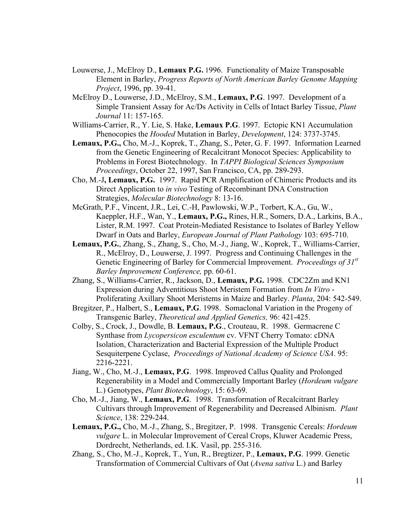- Louwerse, J., McElroy D., **Lemaux P.G.** 1996. Functionality of Maize Transposable Element in Barley, *Progress Reports of North American Barley Genome Mapping Project*, 1996, pp. 39-41.
- McElroy D., Louwerse, J.D., McElroy, S.M., **Lemaux, P.G**. 1997. Development of a Simple Transient Assay for Ac/Ds Activity in Cells of Intact Barley Tissue, *Plant Journal* 11: 157-165.
- Williams-Carrier, R., Y. Lie, S. Hake, **Lemaux P.G**. 1997. Ectopic KN1 Accumulation Phenocopies the *Hooded* Mutation in Barley, *Development*, 124: 3737-3745.
- **Lemaux, P.G.,** Cho, M.-J., Koprek, T., Zhang, S., Peter, G. F. 1997. Information Learned from the Genetic Engineering of Recalcitrant Monocot Species: Applicability to Problems in Forest Biotechnology. In *TAPPI Biological Sciences Symposium Proceedings*, October 22, 1997, San Francisco, CA, pp. 289-293.
- Cho, M.-J**, Lemaux, P.G.** 1997. Rapid PCR Amplification of Chimeric Products and its Direct Application to *in vivo* Testing of Recombinant DNA Construction Strategies, *Molecular Biotechnology* 8: 13-16.
- McGrath, P.F., Vincent, J.R., Lei, C.-H, Pawlowski, W.P., Torbert, K.A., Gu, W., Kaeppler, H.F., Wan, Y., **Lemaux, P.G.,** Rines, H.R., Somers, D.A., Larkins, B.A., Lister, R.M. 1997. Coat Protein-Mediated Resistance to Isolates of Barley Yellow Dwarf in Oats and Barley, *European Journal of Plant Pathology* 103: 695-710.
- **Lemaux, P.G.**, Zhang, S., Zhang, S., Cho, M.-J., Jiang, W., Koprek, T., Williams-Carrier, R., McElroy, D., Louwerse, J. 1997. Progress and Continuing Challenges in the Genetic Engineering of Barley for Commercial Improvement. *Proceedings of 31st Barley Improvement Conference,* pp. 60-61.
- Zhang, S., Williams-Carrier, R., Jackson, D., **Lemaux, P.G.** 1998. CDC2Zm and KN1 Expression during Adventitious Shoot Meristem Formation from *In Vitro* - Proliferating Axillary Shoot Meristems in Maize and Barley. *Planta*, 204: 542-549.
- Bregitzer, P., Halbert, S., **Lemaux, P.G**. 1998. Somaclonal Variation in the Progeny of Transgenic Barley, *Theoretical and Applied Genetics,* 96: 421-425.
- Colby, S., Crock, J., Dowdle, B. **Lemaux, P.G**., Crouteau, R. 1998. Germacrene C Synthase from *Lycopersicon esculentum* cv. VFNT Cherry Tomato: cDNA Isolation, Characterization and Bacterial Expression of the Multiple Product Sesquiterpene Cyclase, *Proceedings of National Academy of Science USA*. 95: 2216-2221.
- Jiang, W., Cho, M.-J., **Lemaux, P.G**. 1998. Improved Callus Quality and Prolonged Regenerability in a Model and Commercially Important Barley (*Hordeum vulgare*  L.) Genotypes, *Plant Biotechnology*, 15: 63-69.
- Cho, M.-J., Jiang, W., **Lemaux, P.G**. 1998. Transformation of Recalcitrant Barley Cultivars through Improvement of Regenerability and Decreased Albinism. *Plant Science*, 138: 229-244.
- **Lemaux, P.G.,** Cho, M.-J., Zhang, S., Bregitzer, P. 1998. Transgenic Cereals: *Hordeum vulgare* L. in Molecular Improvement of Cereal Crops, Kluwer Academic Press, Dordrecht, Netherlands, ed. I.K. Vasil, pp. 255-316.
- Zhang, S., Cho, M.-J., Koprek, T., Yun, R., Bregtizer, P., **Lemaux, P.G**. 1999. Genetic Transformation of Commercial Cultivars of Oat (*Avena sativa* L.) and Barley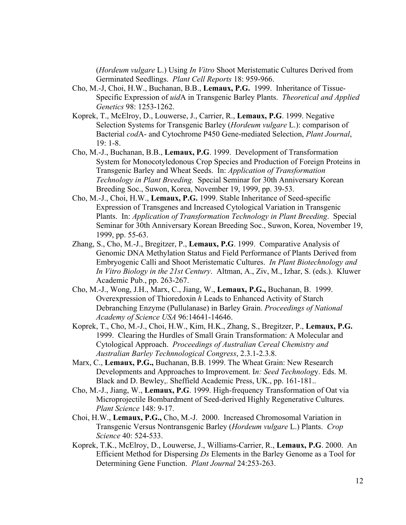(*Hordeum vulgare* L.) Using *In Vitro* Shoot Meristematic Cultures Derived from Germinated Seedlings. *Plant Cell Reports* 18: 959-966.

- Cho, M.-J, Choi, H.W., Buchanan, B.B., **Lemaux, P.G.** 1999. Inheritance of Tissue-Specific Expression of *uid*A in Transgenic Barley Plants. *Theoretical and Applied Genetics* 98: 1253-1262.
- Koprek, T., McElroy, D., Louwerse, J., Carrier, R., **Lemaux, P.G**. 1999. Negative Selection Systems for Transgenic Barley (*Hordeum vulgare* L.): comparison of Bacterial *cod*A- and Cytochrome P450 Gene-mediated Selection, *Plant Journal*, 19: 1-8.
- Cho, M.-J., Buchanan, B.B., **Lemaux, P.G**. 1999. Development of Transformation System for Monocotyledonous Crop Species and Production of Foreign Proteins in Transgenic Barley and Wheat Seeds. In: *Application of Transformation Technology in Plant Breeding.* Special Seminar for 30th Anniversary Korean Breeding Soc., Suwon, Korea, November 19, 1999, pp. 39-53.
- Cho, M.-J., Choi, H.W., **Lemaux, P.G.** 1999. Stable Inheritance of Seed-specific Expression of Transgenes and Increased Cytological Variation in Transgenic Plants. In: *Application of Transformation Technology in Plant Breeding*. Special Seminar for 30th Anniversary Korean Breeding Soc., Suwon, Korea, November 19, 1999, pp. 55-63.
- Zhang, S., Cho, M.-J., Bregitzer, P., **Lemaux, P.G**. 1999. Comparative Analysis of Genomic DNA Methylation Status and Field Performance of Plants Derived from Embryogenic Calli and Shoot Meristematic Cultures. *In Plant Biotechnology and In Vitro Biology in the 21st Century*. Altman, A., Ziv, M., Izhar, S. (eds.). Kluwer Academic Pub., pp. 263-267.
- Cho, M.-J., Wong, J.H., Marx, C., Jiang, W., **Lemaux, P.G.,** Buchanan, B. 1999. Overexpression of Thioredoxin *h* Leads to Enhanced Activity of Starch Debranching Enzyme (Pullulanase) in Barley Grain. *Proceedings of National Academy of Science USA* 96:14641-14646.
- Koprek, T., Cho, M.-J., Choi, H.W., Kim, H.K., Zhang, S., Bregitzer, P., **Lemaux, P.G.** 1999. Clearing the Hurdles of Small Grain Transformation: A Molecular and Cytological Approach. *Proceedings of Australian Cereal Chemistry and Australian Barley Technnological Congress*, 2.3.1-2.3.8.
- Marx, C., **Lemaux, P.G.,** Buchanan, B.B. 1999. The Wheat Grain: New Research Developments and Approaches to Improvement. I*n: Seed Technolog*y. Eds. M. Black and D. Bewley,. Sheffield Academic Press, UK., pp. 161-181..
- Cho, M.-J., Jiang, W., **Lemaux, P.G**. 1999. High-frequency Transformation of Oat via Microprojectile Bombardment of Seed-derived Highly Regenerative Cultures. *Plant Science* 148: 9-17.
- Choi, H.W., **Lemaux, P.G.,** Cho, M.-J. 2000. Increased Chromosomal Variation in Transgenic Versus Nontransgenic Barley (*Hordeum vulgare* L.) Plants. *Crop Science* 40: 524-533.
- Koprek, T.K., McElroy, D., Louwerse, J., Williams-Carrier, R., **Lemaux, P.G**. 2000. An Efficient Method for Dispersing *Ds* Elements in the Barley Genome as a Tool for Determining Gene Function. *Plant Journal* 24:253-263.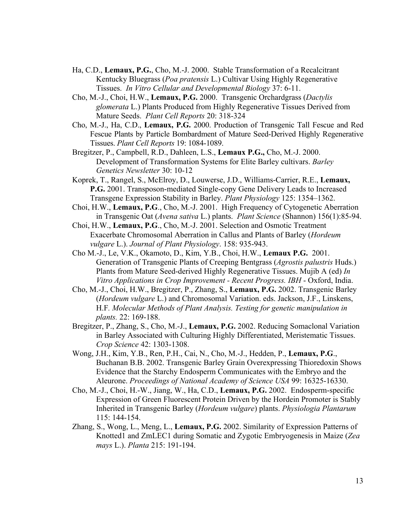- Ha, C.D., **Lemaux, P.G.**, Cho, M.-J. 2000. Stable Transformation of a Recalcitrant Kentucky Bluegrass (*Poa pratensis* L.) Cultivar Using Highly Regenerative Tissues. *In Vitro Cellular and Developmental Biology* 37: 6-11.
- Cho, M.-J., Choi, H.W., **Lemaux, P.G.** 2000. Transgenic Orchardgrass (*Dactylis glomerata* L.) Plants Produced from Highly Regenerative Tissues Derived from Mature Seeds. *Plant Cell Reports* 20: 318-324
- Cho, M.-J., Ha, C.D., **Lemaux, P.G.** 2000. Production of Transgenic Tall Fescue and Red Fescue Plants by Particle Bombardment of Mature Seed-Derived Highly Regenerative Tissues. *Plant Cell Reports* 19: 1084-1089.
- Bregitzer, P., Campbell, R.D., Dahleen, L.S., **Lemaux P.G.,** Cho, M.-J. 2000. Development of Transformation Systems for Elite Barley cultivars. *Barley Genetics Newsletter* 30: 10-12
- Koprek, T., Rangel, S., McElroy, D., Louwerse, J.D., Williams-Carrier, R.E., **Lemaux, P.G.** 2001. Transposon-mediated Single-copy Gene Delivery Leads to Increased Transgene Expression Stability in Barley. *Plant Physiology* 125: 1354–1362.
- Choi, H.W., **Lemaux, P.G**., Cho, M.-J. 2001. High Frequency of Cytogenetic Aberration in Transgenic Oat (*Avena sativa* L.) plants. *Plant Science* (Shannon) 156(1):85-94.
- Choi, H.W., **Lemaux, P.G**., Cho, M.-J. 2001. Selection and Osmotic Treatment Exacerbate Chromosomal Aberration in Callus and Plants of Barley (*Hordeum vulgare* L.). *Journal of Plant Physiology*. 158: 935-943.
- Cho M.-J., Le, V.K., Okamoto, D., Kim, Y.B., Choi, H.W., **Lemaux P.G.** 2001. Generation of Transgenic Plants of Creeping Bentgrass (*Agrostis palustris* Huds.) Plants from Mature Seed-derived Highly Regenerative Tissues. Mujib A (ed) *In Vitro Applications in Crop Improvement - Recent Progress. IBH* - Oxford, India.
- Cho, M.-J., Choi, H.W., Bregitzer, P., Zhang, S., **Lemaux, P.G.** 2002. Transgenic Barley (*Hordeum vulgare* L.) and Chromosomal Variation. eds. Jackson, J.F., Linskens, H.F*. Molecular Methods of Plant Analysis. Testing for genetic manipulation in plants.* 22: 169-188.
- Bregitzer, P., Zhang, S., Cho, M.-J., **Lemaux, P.G.** 2002. Reducing Somaclonal Variation in Barley Associated with Culturing Highly Differentiated, Meristematic Tissues. *Crop Science* 42: 1303-1308.
- Wong, J.H., Kim, Y.B., Ren, P.H., Cai, N., Cho, M.-J., Hedden, P., **Lemaux, P.G**., Buchanan B.B. 2002. Transgenic Barley Grain Overexpressing Thioredoxin Shows Evidence that the Starchy Endosperm Communicates with the Embryo and the Aleurone. *Proceedings of National Academy of Science USA* 99: 16325-16330.
- Cho, M.-J., Choi, H.-W., Jiang, W., Ha, C.D., **Lemaux, P.G.** 2002. Endosperm-specific Expression of Green Fluorescent Protein Driven by the Hordein Promoter is Stably Inherited in Transgenic Barley (*Hordeum vulgare*) plants. *Physiologia Plantarum* 115: 144-154.
- Zhang, S., Wong, L., Meng, L., **Lemaux, P.G.** 2002. Similarity of Expression Patterns of Knotted1 and ZmLEC1 during Somatic and Zygotic Embryogenesis in Maize (*Zea mays* L.). *Planta* 215: 191-194.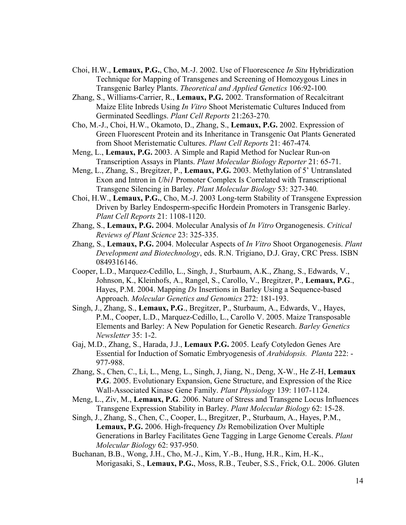- Choi, H.W., **Lemaux, P.G.**, Cho, M.-J. 2002. Use of Fluorescence *In Situ* Hybridization Technique for Mapping of Transgenes and Screening of Homozygous Lines in Transgenic Barley Plants. *Theoretical and Applied Genetics* 106:92-100*.*
- Zhang, S., Williams-Carrier, R., **Lemaux, P.G.** 2002. Transformation of Recalcitrant Maize Elite Inbreds Using *In Vitro* Shoot Meristematic Cultures Induced from Germinated Seedlings. *Plant Cell Reports* 21:263-270*.*
- Cho, M.-J., Choi, H.W., Okamoto, D., Zhang, S., **Lemaux, P.G.** 2002. Expression of Green Fluorescent Protein and its Inheritance in Transgenic Oat Plants Generated from Shoot Meristematic Cultures. *Plant Cell Reports* 21: 467-474*.*
- Meng, L., **Lemaux, P.G.** 2003. A Simple and Rapid Method for Nuclear Run-on Transcription Assays in Plants. *Plant Molecular Biology Reporter* 21: 65-71.
- Meng, L., Zhang, S., Bregitzer, P., **Lemaux, P.G.** 2003. Methylation of 5' Untranslated Exon and Intron in *Ubi1* Promoter Complex Is Correlated with Transcriptional Transgene Silencing in Barley. *Plant Molecular Biology* 53: 327-340*.*
- Choi, H.W., **Lemaux, P.G.**, Cho, M.-J. 2003 Long-term Stability of Transgene Expression Driven by Barley Endosperm-specific Hordein Promoters in Transgenic Barley. *Plant Cell Reports* 21: 1108-1120.
- Zhang, S., **Lemaux, P.G.** 2004. Molecular Analysis of *In Vitro* Organogenesis. *Critical Reviews of Plant Science* 23: 325-335.
- Zhang, S., **Lemaux, P.G.** 2004. Molecular Aspects of *In Vitro* Shoot Organogenesis. *Plant Development and Biotechnology*, eds. R.N. Trigiano, D.J. Gray, CRC Press. ISBN 0849316146.
- Cooper, L.D., Marquez-Cedillo, L., Singh, J., Sturbaum, A.K., Zhang, S., Edwards, V., Johnson, K., Kleinhofs, A., Rangel, S., Carollo, V., Bregitzer, P., **Lemaux, P.G**., Hayes, P.M. 2004. Mapping *Ds* Insertions in Barley Using a Sequence-based Approach. *Molecular Genetics and Genomics* 272: 181-193.
- Singh, J., Zhang, S., **Lemaux, P.G**., Bregitzer, P., Sturbaum, A., Edwards, V., Hayes, P.M., Cooper, L.D., Marquez-Cedillo, L., Carollo V. 2005. Maize Transposable Elements and Barley: A New Population for Genetic Research. *Barley Genetics Newsletter* 35: 1-2.
- Gaj, M.D., Zhang, S., Harada, J.J., **Lemaux P.G.** 2005. Leafy Cotyledon Genes Are Essential for Induction of Somatic Embryogenesis of *Arabidopsis. Planta* 222: - 977-988.
- Zhang, S., Chen, C., Li, L., Meng, L., Singh, J, Jiang, N., Deng, X-W., He Z-H, **Lemaux P.G**. 2005. Evolutionary Expansion, Gene Structure, and Expression of the Rice Wall-Associated Kinase Gene Family. *Plant Physiology* 139: 1107-1124.
- Meng, L., Ziv, M., **Lemaux, P.G**. 2006. Nature of Stress and Transgene Locus Influences Transgene Expression Stability in Barley. *Plant Molecular Biology* 62: 15-28.
- Singh, J., Zhang, S., Chen, C., Cooper, L., Bregitzer, P., Sturbaum, A., Hayes, P.M., **Lemaux, P.G.** 2006. High-frequency *Ds* Remobilization Over Multiple Generations in Barley Facilitates Gene Tagging in Large Genome Cereals. *Plant Molecular Biology* 62: 937-950.
- Buchanan, B.B., Wong, J.H., Cho, M.-J., Kim, Y.-B., Hung, H.R., Kim, H.-K., Morigasaki, S., **Lemaux, P.G.**, Moss, R.B., Teuber, S.S., Frick, O.L. 2006. Gluten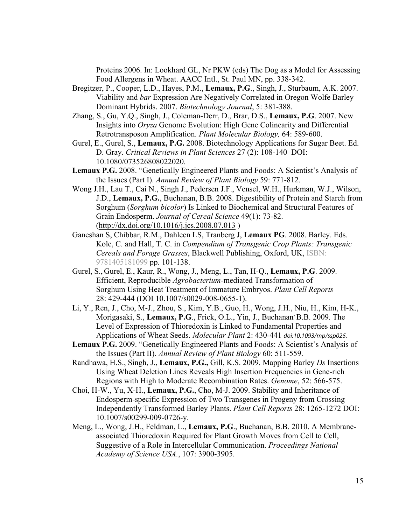Proteins 2006. In: Lookhard GL, Nr PKW (eds) The Dog as a Model for Assessing Food Allergens in Wheat. AACC Intl., St. Paul MN, pp. 338-342.

- Bregitzer, P., Cooper, L.D., Hayes, P.M., **Lemaux, P.G**., Singh, J., Sturbaum, A.K. 2007. Viability and *bar* Expression Are Negatively Correlated in Oregon Wolfe Barley Dominant Hybrids. 2007. *Biotechnology Journal*, 5: 381-388.
- Zhang, S., Gu, Y.Q., Singh, J., Coleman-Derr, D., Brar, D.S., **Lemaux, P.G**. 2007. New Insights into *Oryza* Genome Evolution: High Gene Colinearity and Differential Retrotransposon Amplification. *Plant Molecular Biology,* 64: 589-600.
- Gurel, E., Gurel, S., **Lemaux, P.G.** 2008. Biotechnology Applications for Sugar Beet. Ed. D. Gray. *Critical Reviews in Plant Sciences* 27 (2): 108-140 DOI: 10.1080/073526808022020.
- **Lemaux P.G.** 2008. "Genetically Engineered Plants and Foods: A Scientist's Analysis of the Issues (Part I). *Annual Review of Plant Biology* 59: 771-812.
- Wong J.H., Lau T., Cai N., Singh J., Pedersen J.F., Vensel, W.H., Hurkman, W.J., Wilson, J.D., **Lemaux, P.G.**, Buchanan, B.B. 2008. Digestibility of Protein and Starch from Sorghum (*Sorghum bicolor*) Is Linked to Biochemical and Structural Features of Grain Endosperm. *Journal of Cereal Science* 49(1): 73-82. (http://dx.doi.org/10.1016/j.jcs.2008.07.013 )
- Ganeshan S, Chibbar, R.M., Dahleen LS, Tranberg J, **Lemaux PG**. 2008. Barley. Eds. Kole, C. and Hall, T. C. in *Compendium of Transgenic Crop Plants: Transgenic Cereals and Forage Grasses*, Blackwell Publishing, Oxford, UK, ISBN: 9781405181099 pp. 101-138.
- Gurel, S., Gurel, E., Kaur, R., Wong, J., Meng, L., Tan, H-Q., **Lemaux, P.G**. 2009. Efficient, Reproducible *Agrobacterium-*mediated Transformation of Sorghum Using Heat Treatment of Immature Embryos. *Plant Cell Reports*  28: 429-444 (DOI 10.1007/s0029-008-0655-1).
- Li, Y., Ren, J., Cho, M-J., Zhou, S., Kim, Y.B., Guo, H., Wong, J.H., Niu, H., Kim, H-K., Morigasaki, S., Lemaux, P.G., Frick, O.L., Yin, J., Buchanan<sup>,</sup> B.B. 2009. The Level of Expression of Thioredoxin is Linked to Fundamental Properties and Applications of Wheat Seeds. *Molecular Plant* 2: 430-441 *doi:10.1093/mp/ssp025*.
- **Lemaux P.G.** 2009. "Genetically Engineered Plants and Foods: A Scientist's Analysis of the Issues (Part II). *Annual Review of Plant Biology* 60: 511-559.
- Randhawa, H.S., Singh, J., **Lemaux, P.G.,** Gill, K.S. 2009. Mapping Barley *Ds* Insertions Using Wheat Deletion Lines Reveals High Insertion Frequencies in Gene-rich Regions with High to Moderate Recombination Rates. *Genome*, 52: 566-575.
- Choi, H-W., Yu, X-H., **Lemaux, P.G.**, Cho, M-J. 2009. Stability and Inheritance of Endosperm-specific Expression of Two Transgenes in Progeny from Crossing Independently Transformed Barley Plants. *Plant Cell Reports* 28: 1265-1272 DOI: 10.1007/s00299-009-0726-y.
- Meng, L., Wong, J.H., Feldman, L., **Lemaux, P.G**., Buchanan, B.B. 2010. A Membraneassociated Thioredoxin Required for Plant Growth Moves from Cell to Cell, Suggestive of a Role in Intercellular Communication. *Proceedings National Academy of Science USA.*, 107: 3900-3905.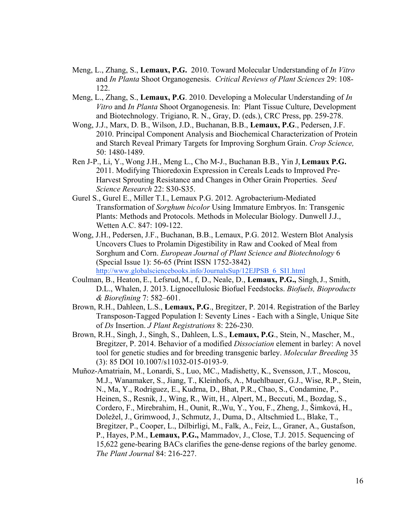- Meng, L., Zhang, S., **Lemaux, P.G.** 2010. Toward Molecular Understanding of *In Vitro*  and *In Planta* Shoot Organogenesis. *Critical Reviews of Plant Sciences* 29: 108- 122.
- Meng, L., Zhang, S., **Lemaux, P.G**. 2010. Developing a Molecular Understanding of *In Vitro* and *In Planta* Shoot Organogenesis. In: Plant Tissue Culture, Development and Biotechnology. Trigiano, R. N., Gray, D. (eds.), CRC Press, pp. 259-278.
- Wong, J.J., Marx, D. B., Wilson, J.D., Buchanan, B.B., **Lemaux, P.G**., Pedersen, J.F. 2010. Principal Component Analysis and Biochemical Characterization of Protein and Starch Reveal Primary Targets for Improving Sorghum Grain. *Crop Science,*  50: 1480-1489.
- Ren J-P., Li, Y., Wong J.H., Meng L., Cho M-J., Buchanan B.B., Yin J,**Lemaux P.G.**  2011. Modifying Thioredoxin Expression in Cereals Leads to Improved Pre-Harvest Sprouting Resistance and Changes in Other Grain Properties. *Seed Science Research* 22: S30-S35.
- Gurel S., Gurel E., Miller T.I., Lemaux P.G. 2012. Agrobacterium-Mediated Transformation of *Sorghum bicolor* Using Immature Embryos. In: Transgenic Plants: Methods and Protocols. Methods in Molecular Biology. Dunwell J.J., Wetten A.C. 847: 109-122.
- Wong, J.H., Pedersen, J.F., Buchanan, B.B., Lemaux, P.G. 2012. Western Blot Analysis Uncovers Clues to Prolamin Digestibility in Raw and Cooked of Meal from Sorghum and Corn. *European Journal of Plant Science and Biotechnology* 6 (Special Issue 1): 56-65 (Print ISSN 1752-3842) http://www.globalsciencebooks.info/JournalsSup/12EJPSB\_6\_SI1.html
- Coulman, B., Heaton, E., Lefsrud, M., f, D., Neale, D., **Lemaux, P.G.,** Singh,J., Smith, D.L., Whalen, J. 2013. Lignocellulosic Biofuel Feedstocks. *Biofuels, Bioproducts & Biorefining* 7: 582–601.
- Brown, R.H., Dahleen, L.S., **Lemaux, P.G**., Bregitzer, P. 2014. Registration of the Barley Transposon-Tagged Population I: Seventy Lines - Each with a Single, Unique Site of *Ds* Insertion. *J Plant Registrations* 8: 226-230.
- Brown, R.H., Singh, J., Singh, S., Dahleen, L.S., **Lemaux, P.G**., Stein, N., Mascher, M., Bregitzer, P. 2014. Behavior of a modified *Dissociation* element in barley: A novel tool for genetic studies and for breeding transgenic barley. *Molecular Breeding* 35 (3): 85 DOI 10.1007/s11032-015-0193-9.
- Muñoz-Amatriaín, M., Lonardi, S., Luo, MC., Madishetty, K., Svensson, J.T., Moscou, M.J., Wanamaker, S., Jiang, T., Kleinhofs, A., Muehlbauer, G.J., Wise, R.P., Stein, N., Ma, Y., Rodriguez, E., Kudrna, D., Bhat, P.R., Chao, S., Condamine, P., Heinen, S., Resnik, J., Wing, R., Witt, H., Alpert, M., Beccuti, M., Bozdag, S., Cordero, F., Mirebrahim, H., Ounit, R.,Wu, Y., You, F., Zheng, J., Šimková, H., Doležel, J., Grimwood, J., Schmutz, J., Duma, D., Altschmied L., Blake, T., Bregitzer, P., Cooper, L., Dilbirligi, M., Falk, A., Feiz, L., Graner, A., Gustafson, P., Hayes, P.M., **Lemaux, P.G.,** Mammadov, J., Close, T.J. 2015. Sequencing of 15,622 gene-bearing BACs clarifies the gene-dense regions of the barley genome. *The Plant Journal* 84: 216-227.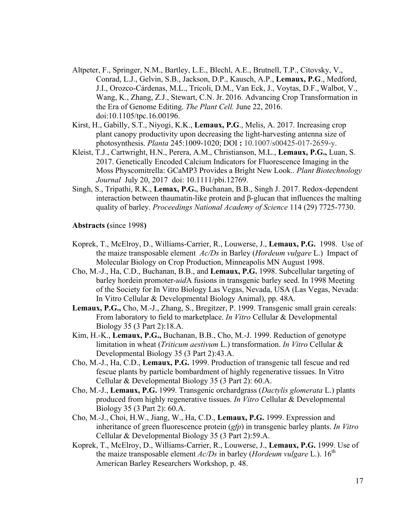- Altpeter, F., Springer, N.M., Bartley, L.E., Blechl, A.E., Brutnell, T.P., Citovsky, V., Conrad, L.J., Gelvin, S.B., Jackson, D.P., Kausch, A.P., **Lemaux, P.G**., Medford, J.I., Orozco-Cárdenas, M.L., Tricoli, D.M., Van Eck, J., Voytas, D.F., Walbot, V., Wang, K., Zhang, Z.J., Stewart, C.N. Jr. 2016. Advancing Crop Transformation in the Era of Genome Editing. *The Plant Cell.* June 22, 2016. doi:10.1105/tpc.16.00196.
- Kirst, H., Gabilly, S.T., Niyogi, K.K., **Lemaux, P.G**., Melis, A. 2017. Increasing crop plant canopy productivity upon decreasing the light-harvesting antenna size of photosynthesis. *Planta* 245:1009-1020; DOI **:** 10.1007/s00425-017-2659-y.
- Kleist, T.J., Cartwright, H.N., Perera, A.M., Christianson, M.L., **Lemaux, P.G.,** Luan, S. 2017. Genetically Encoded Calcium Indicators for Fluorescence Imaging in the Moss Physcomitrella: GCaMP3 Provides a Bright New Look.. *Plant Biotechnology Journal* July 20, 2017 doi: 10.1111/pbi.12769.
- Singh, S., Tripathi, R.K., **Lemax, P.G.**, Buchanan, B.B., Singh J. 2017. Redox-dependent interaction between thaumatin-like protein and β-glucan that influences the malting quality of barley. *Proceedings National Academy of Science* 114 (29) 7725-7730.

**Abstracts (**since 1998**)**

- Koprek, T., McElroy, D., Williams-Carrier, R., Louwerse, J., **Lemaux, P.G.** 1998. Use of the maize transposable element *Ac/Ds* in Barley (*Hordeum vulgare* L.) Impact of Molecular Biology on Crop Production, Minneapolis MN August 1998.
- Cho, M.-J., Ha, C.D., Buchanan, B.B., and **Lemaux, P.G.** 1998. Subcellular targeting of barley hordein promoter-*uid*A fusions in transgenic barley seed. In 1998 Meeting of the Society for In Vitro Biology Las Vegas, Nevada, USA (Las Vegas, Nevada: In Vitro Cellular & Developmental Biology Animal), pp. 48A.
- **Lemaux, P.G.,** Cho, M.-J., Zhang, S., Bregitzer, P. 1999. Transgenic small grain cereals: From laboratory to field to marketplace. *In Vitro* Cellular & Developmental Biology 35 (3 Part 2):18.A.
- Kim, H.-K., **Lemaux, P.G.,** Buchanan, B.B., Cho, M.-J. 1999. Reduction of genotype limitation in wheat (*Triticum aestivum* L.) transformation. *In Vitro* Cellular & Developmental Biology 35 (3 Part 2):43.A.
- Cho, M.-J., Ha, C.D., **Lemaux, P.G.** 1999. Production of transgenic tall fescue and red fescue plants by particle bombardment of highly regenerative tissues. In Vitro Cellular & Developmental Biology 35 (3 Part 2): 60.A.
- Cho, M.-J., **Lemaux, P.G.** 1999. Transgenic orchardgrass (*Dactylis glomerata* L.) plants produced from highly regenerative tissues. *In Vitro* Cellular & Developmental Biology 35 (3 Part 2): 60.A.
- Cho, M.-J., Choi, H.W., Jiang, W., Ha, C.D., **Lemaux, P.G.** 1999. Expression and inheritance of green fluorescence protein (*gfp*) in transgenic barley plants. *In Vitro* Cellular & Developmental Biology 35 (3 Part 2):59.A.
- Koprek, T., McElroy, D., Williams-Carrier, R., Louwerse, J., **Lemaux, P.G.** 1999. Use of the maize transposable element  $Ac/Ds$  in barley (*Hordeum vulgare* L.). 16<sup>th</sup> American Barley Researchers Workshop, p. 48.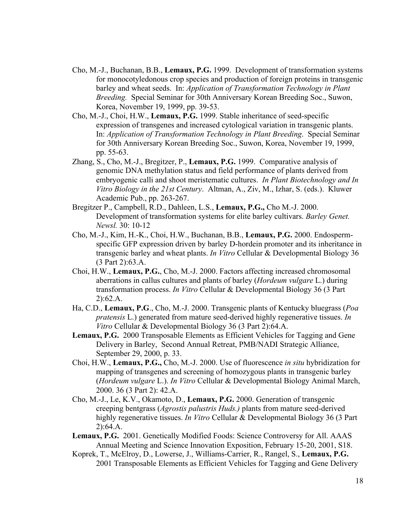- Cho, M.-J., Buchanan, B.B., **Lemaux, P.G.** 1999. Development of transformation systems for monocotyledonous crop species and production of foreign proteins in transgenic barley and wheat seeds. In: *Application of Transformation Technology in Plant Breeding.* Special Seminar for 30th Anniversary Korean Breeding Soc., Suwon, Korea, November 19, 1999, pp. 39-53.
- Cho, M.-J., Choi, H.W., **Lemaux, P.G.** 1999. Stable inheritance of seed-specific expression of transgenes and increased cytological variation in transgenic plants. In: *Application of Transformation Technology in Plant Breeding*. Special Seminar for 30th Anniversary Korean Breeding Soc., Suwon, Korea, November 19, 1999, pp. 55-63.
- Zhang, S., Cho, M.-J., Bregitzer, P., **Lemaux, P.G.** 1999. Comparative analysis of genomic DNA methylation status and field performance of plants derived from embryogenic calli and shoot meristematic cultures. *In Plant Biotechnology and In Vitro Biology in the 21st Century*. Altman, A., Ziv, M., Izhar, S. (eds.). Kluwer Academic Pub., pp. 263-267.
- Bregitzer P., Campbell, R.D., Dahleen, L.S., **Lemaux, P.G.,** Cho M.-J. 2000. Development of transformation systems for elite barley cultivars. *Barley Genet. Newsl.* 30: 10-12
- Cho, M.-J., Kim, H.-K., Choi, H.W., Buchanan, B.B., **Lemaux, P.G.** 2000. Endospermspecific GFP expression driven by barley D-hordein promoter and its inheritance in transgenic barley and wheat plants. *In Vitro* Cellular & Developmental Biology 36 (3 Part 2):63.A.
- Choi, H.W., **Lemaux, P.G.**, Cho, M.-J. 2000. Factors affecting increased chromosomal aberrations in callus cultures and plants of barley (*Hordeum vulgare* L.) during transformation process. *In Vitro* Cellular & Developmental Biology 36 (3 Part 2):62.A.
- Ha, C.D., **Lemaux, P.G**., Cho, M.-J. 2000. Transgenic plants of Kentucky bluegrass (*Poa pratensis* L.) generated from mature seed-derived highly regenerative tissues. *In Vitro* Cellular & Developmental Biology 36 (3 Part 2):64.A.
- **Lemaux, P.G.** 2000 Transposable Elements as Efficient Vehicles for Tagging and Gene Delivery in Barley, Second Annual Retreat, PMB/NADI Strategic Alliance, September 29, 2000, p. 33.
- Choi, H.W., **Lemaux, P.G.,** Cho, M.-J. 2000. Use of fluorescence *in situ* hybridization for mapping of transgenes and screening of homozygous plants in transgenic barley (*Hordeum vulgare* L.). *In Vitro* Cellular & Developmental Biology Animal March, 2000. 36 (3 Part 2): 42.A.
- Cho, M.-J., Le, K.V., Okamoto, D., **Lemaux, P.G.** 2000. Generation of transgenic creeping bentgrass (*Agrostis palustris Huds.)* plants from mature seed-derived highly regenerative tissues. *In Vitro* Cellular & Developmental Biology 36 (3 Part 2):64.A.
- **Lemaux, P.G.** 2001. Genetically Modified Foods: Science Controversy for All. AAAS Annual Meeting and Science Innovation Exposition, February 15-20, 2001, S18.
- Koprek, T., McElroy, D., Lowerse, J., Williams-Carrier, R., Rangel, S., **Lemaux, P.G.** 2001 Transposable Elements as Efficient Vehicles for Tagging and Gene Delivery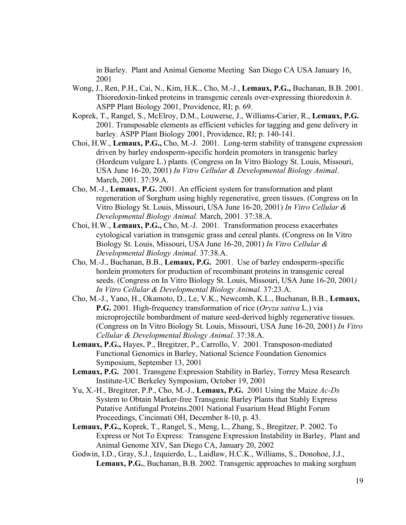in Barley. Plant and Animal Genome Meeting San Diego CA USA January 16, 2001

- Wong, J., Ren, P.H., Cai, N., Kim, H.K., Cho, M.-J., **Lemaux, P.G.,** Buchanan, B.B. 2001. Thioredoxin-linked proteins in transgenic cereals over-expressing thioredoxin *h*. ASPP Plant Biology 2001, Providence, RI; p. 69.
- Koprek, T., Rangel, S., McElroy, D.M., Louwerse, J., Williams-Carier, R., **Lemaux, P.G.** 2001. Transposable elements as efficient vehicles for tagging and gene delivery in barley. ASPP Plant Biology 2001, Providence, RI; p. 140-141.
- Choi, H.W., **Lemaux, P.G.,** Cho, M.-J. 2001. Long-term stability of transgene expression driven by barley endosperm-specific hordein promoters in transgenic barley (Hordeum vulgare L.) plants. (Congress on In Vitro Biology St. Louis, Missouri, USA June 16-20, 2001) *In Vitro Cellular & Developmental Biology Animal*. March, 2001. 37:39.A.
- Cho, M.-J., **Lemaux, P.G.** 2001. An efficient system for transformation and plant regeneration of Sorghum using highly regenerative, green tissues. (Congress on In Vitro Biology St. Louis, Missouri, USA June 16-20, 2001) *In Vitro Cellular & Developmental Biology Animal.* March, 2001. 37:38.A.
- Choi, H.W., **Lemaux, P.G.,** Cho, M.-J. 2001. Transformation process exacerbates cytological variation in transgenic grass and cereal plants. (Congress on In Vitro Biology St. Louis, Missouri, USA June 16-20, 2001) *In Vitro Cellular & Developmental Biology Animal*. 37:38.A.
- Cho, M.-J., Buchanan, B.B., **Lemaux, P.G.** 2001. Use of barley endosperm-specific hordein promoters for production of recombinant proteins in transgenic cereal seeds. (Congress on In Vitro Biology St. Louis, Missouri, USA June 16-20, 2001*) In Vitro Cellular & Developmental Biology Animal.* 37:23.A.
- Cho, M.-J., Yano, H., Okamoto, D., Le, V.K., Newcomb, K.L., Buchanan, B.B., **Lemaux, P.G.** 2001. High-frequency transformation of rice (*Oryza sativa* L.) via microprojectile bombardment of mature seed-derived highly regenerative tissues. (Congress on In Vitro Biology St. Louis, Missouri, USA June 16-20, 2001) *In Vitro Cellular & Developmental Biology Animal*. 37:38.A.
- **Lemaux, P.G.,** Hayes, P., Bregitzer, P., Carrollo, V. 2001. Transposon-mediated Functional Genomics in Barley, National Science Foundation Genomics Symposium, September 13, 2001
- **Lemaux, P.G.** 2001. Transgene Expression Stability in Barley, Torrey Mesa Research Institute-UC Berkeley Symposium, October 19, 2001
- Yu, X.-H., Bregitzer, P.P., Cho, M.-J., **Lemaux, P.G.** 2001 Using the Maize *Ac-Ds*  System to Obtain Marker-free Transgenic Barley Plants that Stably Express Putative Antifungal Proteins.2001 National Fusarium Head Blight Forum Proceedings, Cincinnati OH, December 8-10, p. 43.
- **Lemaux, P.G.,** Koprek, T., Rangel, S., Meng, L., Zhang, S., Bregitzer, P. 2002. To Express or Not To Express: Transgene Expression Instability in Barley, Plant and Animal Genome XIV, San Diego CA, January 20, 2002
- Godwin, I.D., Gray, S.J., Izquierdo, L., Laidlaw, H.C.K., Williams, S., Donohoe, J.J., **Lemaux, P.G.**, Buchanan, B.B. 2002. Transgenic approaches to making sorghum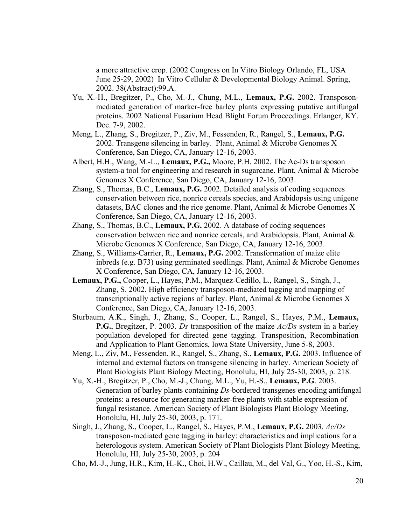a more attractive crop. (2002 Congress on In Vitro Biology Orlando, FL, USA June 25-29, 2002) In Vitro Cellular & Developmental Biology Animal. Spring, 2002. 38(Abstract):99.A.

- Yu, X.-H., Bregitzer, P., Cho, M.-J., Chung, M.L., **Lemaux, P.G.** 2002. Transposonmediated generation of marker-free barley plants expressing putative antifungal proteins. 2002 National Fusarium Head Blight Forum Proceedings. Erlanger, KY. Dec. 7-9, 2002.
- Meng, L., Zhang, S., Bregitzer, P., Ziv, M., Fessenden, R., Rangel, S., **Lemaux, P.G.** 2002. Transgene silencing in barley. Plant, Animal & Microbe Genomes X Conference, San Diego, CA, January 12-16, 2003.
- Albert, H.H., Wang, M.-L., **Lemaux, P.G.,** Moore, P.H. 2002. The Ac-Ds transposon system-a tool for engineering and research in sugarcane. Plant, Animal & Microbe Genomes X Conference, San Diego, CA, January 12-16, 2003.
- Zhang, S., Thomas, B.C., **Lemaux, P.G.** 2002. Detailed analysis of coding sequences conservation between rice, nonrice cereals species, and Arabidopsis using unigene datasets, BAC clones and the rice genome. Plant, Animal & Microbe Genomes X Conference, San Diego, CA, January 12-16, 2003.
- Zhang, S., Thomas, B.C., **Lemaux, P.G.** 2002. A database of coding sequences conservation between rice and nonrice cereals, and Arabidopsis. Plant, Animal  $\&$ Microbe Genomes X Conference, San Diego, CA, January 12-16, 2003.
- Zhang, S., Williams-Carrier, R., **Lemaux, P.G.** 2002. Transformation of maize elite inbreds (e.g. B73) using germinated seedlings. Plant, Animal & Microbe Genomes X Conference, San Diego, CA, January 12-16, 2003.
- **Lemaux, P.G.,** Cooper, L., Hayes, P.M., Marquez-Cedillo, L., Rangel, S., Singh, J., Zhang, S. 2002. High efficiency transposon-mediated tagging and mapping of transcriptionally active regions of barley. Plant, Animal & Microbe Genomes X Conference, San Diego, CA, January 12-16, 2003.
- Sturbaum, A.K., Singh, J., Zhang, S., Cooper, L., Rangel, S., Hayes, P.M., **Lemaux, P.G.**, Bregitzer, P. 2003. *Ds* transposition of the maize *Ac/Ds* system in a barley population developed for directed gene tagging. Transposition, Recombination and Application to Plant Genomics, Iowa State University, June 5-8, 2003.
- Meng, L., Ziv, M., Fessenden, R., Rangel, S., Zhang, S., **Lemaux, P.G.** 2003. Influence of internal and external factors on transgene silencing in barley. American Society of Plant Biologists Plant Biology Meeting, Honolulu, HI, July 25-30, 2003, p. 218.
- Yu, X.-H., Bregitzer, P., Cho, M.-J., Chung, M.L., Yu, H.-S., **Lemaux, P.G**. 2003. Generation of barley plants containing *Ds*-bordered transgenes encoding antifungal proteins: a resource for generating marker-free plants with stable expression of fungal resistance. American Society of Plant Biologists Plant Biology Meeting, Honolulu, HI, July 25-30, 2003, p. 171.
- Singh, J., Zhang, S., Cooper, L., Rangel, S., Hayes, P.M., **Lemaux, P.G.** 2003. *Ac/Ds* transposon-mediated gene tagging in barley: characteristics and implications for a heterologous system. American Society of Plant Biologists Plant Biology Meeting, Honolulu, HI, July 25-30, 2003, p. 204
- Cho, M.-J., Jung, H.R., Kim, H.-K., Choi, H.W., Caillau, M., del Val, G., Yoo, H.-S., Kim,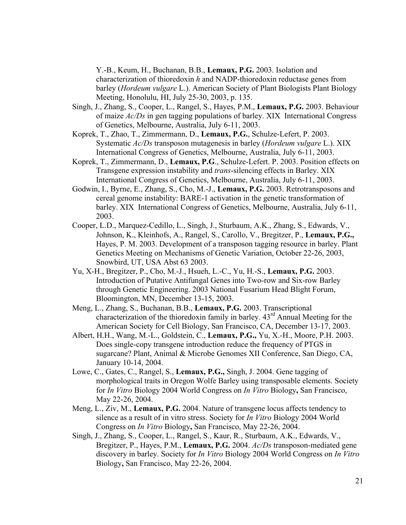Y.-B., Keum, H., Buchanan, B.B., **Lemaux, P.G.** 2003. Isolation and characterization of thioredoxin *h* and NADP-thioredoxin reductase genes from barley (*Hordeum vulgare* L.). American Society of Plant Biologists Plant Biology Meeting, Honolulu, HI, July 25-30, 2003, p. 135.

- Singh, J., Zhang, S., Cooper, L., Rangel, S., Hayes, P.M., **Lemaux, P.G.** 2003. Behaviour of maize *Ac/Ds* in gen tagging populations of barley. XIX International Congress of Genetics, Melbourne, Australia, July 6-11, 2003.
- Koprek, T., Zhao, T., Zimmermann, D., **Lemaux, P.G.**, Schulze-Lefert, P. 2003. Systematic *Ac/Ds* transposon mutagenesis in barley (*Hordeum vulgare* L.). XIX International Congress of Genetics, Melbourne, Australia, July 6-11, 2003.
- Koprek, T., Zimmermann, D., **Lemaux, P.G**., Schulze-Lefert. P. 2003. Position effects on Transgene expression instability and *trans*-silencing effects in Barley. XIX International Congress of Genetics, Melbourne, Australia, July 6-11, 2003.
- Godwin, I., Byrne, E., Zhang, S., Cho, M.-J., **Lemaux, P.G.** 2003. Retrotransposons and cereal genome instability: BARE-1 activation in the genetic transformation of barley. XIX International Congress of Genetics, Melbourne, Australia, July 6-11, 2003.
- Cooper, L.D., Marquez-Cedillo, L., Singh, J., Sturbaum, A.K., Zhang, S., Edwards, V., Johnson, K., Kleinhofs, A., Rangel, S., Carollo, V., Bregitzer, P., **Lemaux, P.G.,** Hayes, P. M. 2003. Development of a transposon tagging resource in barley. Plant Genetics Meeting on Mechanisms of Genetic Variation, October 22-26, 2003, Snowbird, UT, USA Abst 63 2003.
- Yu, X-H., Bregitzer, P., Cho, M.-J., Hsueh, L.-C., Yu, H.-S., **Lemaux, P.G.** 2003. Introduction of Putative Antifungal Genes into Two-row and Six-row Barley through Genetic Engineering. 2003 National Fusarium Head Blight Forum, Bloomington, MN, December 13-15, 2003.
- Meng, L., Zhang, S., Buchanan, B.B., **Lemaux, P.G.** 2003. Transcriptional characterization of the thioredoxin family in barley.  $43<sup>rd</sup>$  Annual Meeting for the American Society for Cell Biology, San Francisco, CA, December 13-17, 2003.
- Albert, H.H., Wang, M.-L., Goldstein, C., **Lemaux, P.G.,** Yu, X.-H., Moore, P.H. 2003. Does single-copy transgene introduction reduce the frequency of PTGS in sugarcane? Plant, Animal & Microbe Genomes XII Conference, San Diego, CA, January 10-14, 2004.
- Lowe, C., Gates, C., Rangel, S., **Lemaux, P.G.,** Singh, J. 2004. Gene tagging of morphological traits in Oregon Wolfe Barley using transposable elements. Society for *In Vitro* Biology 2004 World Congress on *In Vitro* Biology**,** San Francisco, May 22-26, 2004.
- Meng, L., Ziv, M., **Lemaux, P.G.** 2004. Nature of transgene locus affects tendency to silence as a result of in vitro stress. Society for *In Vitro* Biology 2004 World Congress on *In Vitro* Biology**,** San Francisco, May 22-26, 2004.
- Singh, J., Zhang, S., Cooper, L., Rangel, S., Kaur, R., Sturbaum, A.K., Edwards, V., Bregitzer, P., Hayes, P.M., **Lemaux, P.G.** 2004. *Ac/Ds* transposon-mediated gene discovery in barley. Society for *In Vitro* Biology 2004 World Congress on *In Vitro* Biology**,** San Francisco, May 22-26, 2004.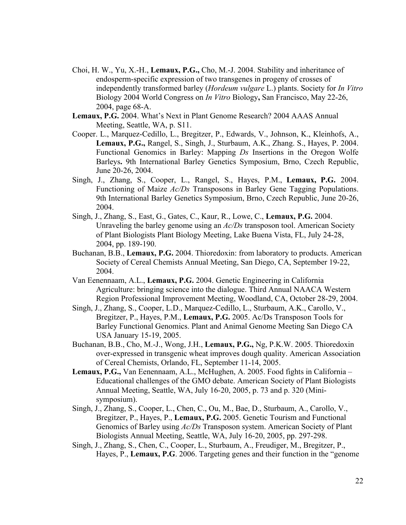- Choi, H. W., Yu, X.-H., **Lemaux, P.G.,** Cho, M.-J. 2004. Stability and inheritance of endosperm-specific expression of two transgenes in progeny of crosses of independently transformed barley (*Hordeum vulgare* L.) plants. Society for *In Vitro* Biology 2004 World Congress on *In Vitro* Biology**,** San Francisco, May 22-26, 2004, page 68-A.
- **Lemaux, P.G.** 2004. What's Next in Plant Genome Research? 2004 AAAS Annual Meeting, Seattle, WA, p. S11.
- Cooper. L., Marquez-Cedillo, L., Bregitzer, P., Edwards, V., Johnson, K., Kleinhofs, A., **Lemaux, P.G.,** Rangel, S., Singh, J., Sturbaum, A.K., Zhang. S., Hayes, P. 2004. Functional Genomics in Barley: Mapping *Ds* Insertions in the Oregon Wolfe Barleys**.** 9th International Barley Genetics Symposium, Brno, Czech Republic, June 20-26, 2004.
- Singh, J., Zhang, S., Cooper, L., Rangel, S., Hayes, P.M., **Lemaux, P.G.** 2004. Functioning of Maize *Ac/Ds* Transposons in Barley Gene Tagging Populations. 9th International Barley Genetics Symposium, Brno, Czech Republic, June 20-26, 2004.
- Singh, J., Zhang, S., East, G., Gates, C., Kaur, R., Lowe, C., **Lemaux, P.G.** 2004. Unraveling the barley genome using an *Ac/Ds* transposon tool. American Society of Plant Biologists Plant Biology Meeting, Lake Buena Vista, FL, July 24-28, 2004, pp. 189-190.
- Buchanan, B.B., **Lemaux, P.G.** 2004. Thioredoxin: from laboratory to products. American Society of Cereal Chemists Annual Meeting, San Diego, CA, September 19-22, 2004.
- Van Eenennaam, A.L., **Lemaux, P.G.** 2004. Genetic Engineering in California Agriculture: bringing science into the dialogue. Third Annual NAACA Western Region Professional Improvement Meeting, Woodland, CA, October 28-29, 2004.
- Singh, J., Zhang, S., Cooper, L.D., Marquez-Cedillo, L., Sturbaum, A.K., Carollo, V., Bregitzer, P., Hayes, P.M., **Lemaux, P.G.** 2005. Ac/Ds Transposon Tools for Barley Functional Genomics. Plant and Animal Genome Meeting San Diego CA USA January 15-19, 2005.
- Buchanan, B.B., Cho, M.-J., Wong, J.H., **Lemaux, P.G.,** Ng, P.K.W. 2005. Thioredoxin over-expressed in transgenic wheat improves dough quality. American Association of Cereal Chemists, Orlando, FL, September 11-14, 2005.
- **Lemaux, P.G.,** Van Eenennaam, A.L., McHughen, A. 2005. Food fights in California Educational challenges of the GMO debate. American Society of Plant Biologists Annual Meeting, Seattle, WA, July 16-20, 2005, p. 73 and p. 320 (Minisymposium).
- Singh, J., Zhang, S., Cooper, L., Chen, C., Ou, M., Bae, D., Sturbaum, A., Carollo, V., Bregitzer, P., Hayes, P., **Lemaux, P.G.** 2005. Genetic Tourism and Functional Genomics of Barley using *Ac/Ds* Transposon system. American Society of Plant Biologists Annual Meeting, Seattle, WA, July 16-20, 2005, pp. 297-298.
- Singh, J., Zhang, S., Chen, C., Cooper, L., Sturbaum, A., Freudiger, M., Bregitzer, P., Hayes, P., **Lemaux, P.G**. 2006. Targeting genes and their function in the "genome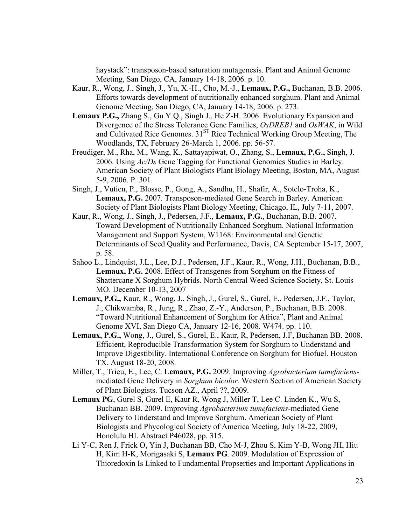haystack": transposon-based saturation mutagenesis. Plant and Animal Genome Meeting, San Diego, CA, January 14-18, 2006. p. 10.

- Kaur, R., Wong, J., Singh, J., Yu, X.-H., Cho, M.-J., **Lemaux, P.G.,** Buchanan, B.B. 2006. Efforts towards development of nutritionally enhanced sorghum. Plant and Animal Genome Meeting, San Diego, CA, January 14-18, 2006. p. 273.
- **Lemaux P.G.,** Zhang S., Gu Y.Q., Singh J., He Z-H. 2006. Evolutionary Expansion and Divergence of the Stress Tolerance Gene Families, *OsDREB1* and *OsWAK*, in Wild and Cultivated Rice Genomes. 31<sup>ST</sup> Rice Technical Working Group Meeting, The Woodlands, TX, February 26-March 1, 2006. pp. 56-57.
- Freudiger, M., Rha, M., Wang, K., Sattayapiwat, O., Zhang, S., **Lemaux, P.G.,** Singh, J. 2006. Using *Ac/Ds* Gene Tagging for Functional Genomics Studies in Barley. American Society of Plant Biologists Plant Biology Meeting, Boston, MA, August 5-9, 2006. P. 301.
- Singh, J., Vutien, P., Blosse, P., Gong, A., Sandhu, H., Shafir, A., Sotelo-Troha, K., **Lemaux, P.G.** 2007. Transposon-mediated Gene Search in Barley. American Society of Plant Biologists Plant Biology Meeting, Chicago, IL, July 7-11, 2007.
- Kaur, R., Wong, J., Singh, J., Pedersen, J.F., **Lemaux, P.G.**, Buchanan, B.B. 2007. Toward Development of Nutritionally Enhanced Sorghum. National Information Management and Support System, W1168: Environmental and Genetic Determinants of Seed Quality and Performance, Davis, CA September 15-17, 2007, p. 58.
- Sahoo L., Lindquist, J.L., Lee, D.J., Pedersen, J.F., Kaur, R., Wong, J.H., Buchanan, B.B., **Lemaux, P.G.** 2008. Effect of Transgenes from Sorghum on the Fitness of Shattercane X Sorghum Hybrids. North Central Weed Science Society, St. Louis MO. December 10-13, 2007
- **Lemaux, P.G.,** Kaur, R., Wong, J., Singh, J., Gurel, S., Gurel, E., Pedersen, J.F., Taylor, J., Chikwamba, R., Jung, R., Zhao, Z.-Y., Anderson, P., Buchanan, B.B. 2008. "Toward Nutritional Enhancement of Sorghum for Africa", Plant and Animal Genome XVI, San Diego CA, January 12-16, 2008. W474. pp. 110.
- **Lemaux, P.G.,** Wong, J., Gurel, S., Gurel, E., Kaur, R, Pedersen, J.F, Buchanan BB. 2008. Efficient, Reproducible Transformation System for Sorghum to Understand and Improve Digestibility. International Conference on Sorghum for Biofuel. Houston TX. August 18-20, 2008.
- Miller, T., Trieu, E., Lee, C. **Lemaux, P.G.** 2009. Improving *Agrobacterium tumefaciens*mediated Gene Delivery in *Sorghum bicolor.* Western Section of American Society of Plant Biologists. Tucson AZ., April ??, 2009.
- **Lemaux PG**, Gurel S, Gurel E, Kaur R, Wong J, Miller T, Lee C. Linden K., Wu S, Buchanan BB. 2009. Improving *Agrobacterium tumefaciens-*mediated Gene Delivery to Understand and Improve Sorghum. American Society of Plant Biologists and Phycological Society of America Meeting, July 18-22, 2009, Honolulu HI. Abstract P46028, pp. 315.
- Li Y-C, Ren J, Frick O, Yin J, Buchanan BB, Cho M-J, Zhou S, Kim Y-B, Wong JH, Hiu H, Kim H-K, Morigasaki S, **Lemaux PG**. 2009. Modulation of Expression of Thioredoxin Is Linked to Fundamental Propserties and Important Applications in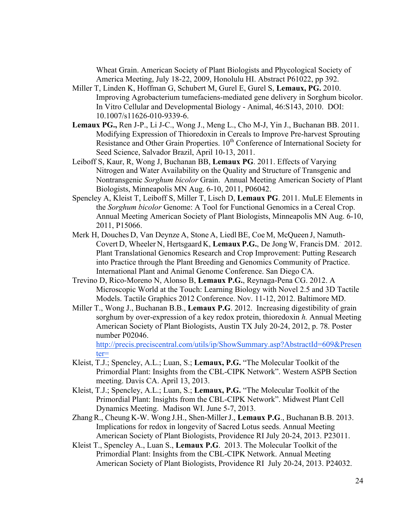Wheat Grain. American Society of Plant Biologists and Phycological Society of America Meeting, July 18-22, 2009, Honolulu HI. Abstract P61022, pp 392.

- Miller T, Linden K, Hoffman G, Schubert M, Gurel E, Gurel S, **Lemaux, PG.** 2010. Improving Agrobacterium tumefaciens-mediated gene delivery in Sorghum bicolor. In Vitro Cellular and Developmental Biology - Animal, 46:S143, 2010. DOI: 10.1007/s11626-010-9339-6.
- **Lemaux PG.,** Ren J-P., Li J-C., Wong J., Meng L., Cho M-J, Yin J., Buchanan BB. 2011. Modifying Expression of Thioredoxin in Cereals to Improve Pre-harvest Sprouting Resistance and Other Grain Properties. 10<sup>th</sup> Conference of International Society for Seed Science, Salvador Brazil, April 10-13, 2011.
- Leiboff S, Kaur, R, Wong J, Buchanan BB, **Lemaux PG**. 2011. Effects of Varying Nitrogen and Water Availability on the Quality and Structure of Transgenic and Nontransgenic *Sorghum bicolor* Grain. Annual Meeting American Society of Plant Biologists, Minneapolis MN Aug. 6-10, 2011, P06042.
- Spencley A, Kleist T, Leiboff S, Miller T, Lisch D, **Lemaux PG**. 2011. MuLE Elements in the *Sorghum bicolor* Genome: A Tool for Functional Genomics in a Cereal Crop. Annual Meeting American Society of Plant Biologists, Minneapolis MN Aug. 6-10, 2011, P15066.
- Merk H, Douches D, Van Deynze A, Stone A, LiedlBE, Coe M, McQueen J, Namuth-Covert D, Wheeler N, Hertsgaard K, **Lemaux P.G.**, De Jong W, Francis DM.. 2012. Plant Translational Genomics Research and Crop Improvement: Putting Research into Practice through the Plant Breeding and Genomics Community of Practice. International Plant and Animal Genome Conference. San Diego CA.
- Trevino D, Rico-Moreno N, Alonso B, **Lemaux P.G.**, Reynaga-Pena CG. 2012. A Microscopic World at the Touch: Learning Biology with Novel 2.5 and 3D Tactile Models. Tactile Graphics 2012 Conference. Nov. 11-12, 2012. Baltimore MD.
- Miller T., Wong J., Buchanan B.B., **Lemaux P.G**. 2012. Increasing digestibility of grain sorghum by over-expression of a key redox protein, thioredoxin *h.* Annual Meeting American Society of Plant Biologists, Austin TX July 20-24, 2012, p. 78. Poster number P02046.

http://precis.preciscentral.com/utils/ip/ShowSummary.asp?AbstractId=609&Presen ter=

- Kleist, T.J.; Spencley, A.L.; Luan, S.; **Lemaux, P.G.** "The Molecular Toolkit of the Primordial Plant: Insights from the CBL-CIPK Network". Western ASPB Section meeting. Davis CA. April 13, 2013.
- Kleist, T.J.; Spencley, A.L.; Luan, S.; **Lemaux, P.G.** "The Molecular Toolkit of the Primordial Plant: Insights from the CBL-CIPK Network". Midwest Plant Cell Dynamics Meeting. Madison WI. June 5-7, 2013.
- ZhangR., Cheung K-W. Wong J.H., Shen-MillerJ., **Lemaux P.G**., Buchanan B.B. 2013. Implications for redox in longevity of Sacred Lotus seeds. Annual Meeting American Society of Plant Biologists, Providence RI July 20-24, 2013. P23011.
- Kleist T., Spencley A., Luan S., **Lemaux P.G**. 2013. The Molecular Toolkit of the Primordial Plant: Insights from the CBL-CIPK Network. Annual Meeting American Society of Plant Biologists, Providence RI July 20-24, 2013. P24032.